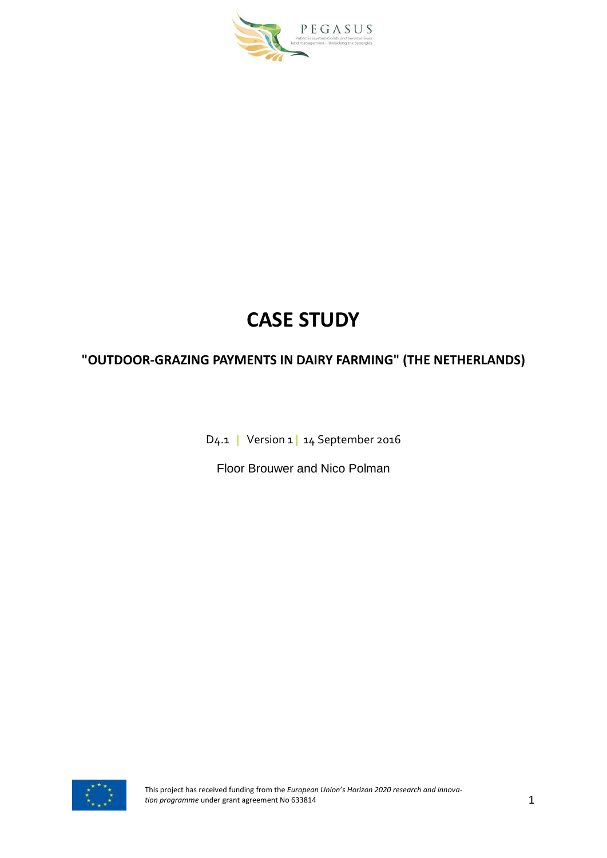

# **CASE STUDY**

# **"OUTDOOR-GRAZING PAYMENTS IN DAIRY FARMING" (THE NETHERLANDS)**

D4.1 | Version 1 | 14 September 2016

Floor Brouwer and Nico Polman

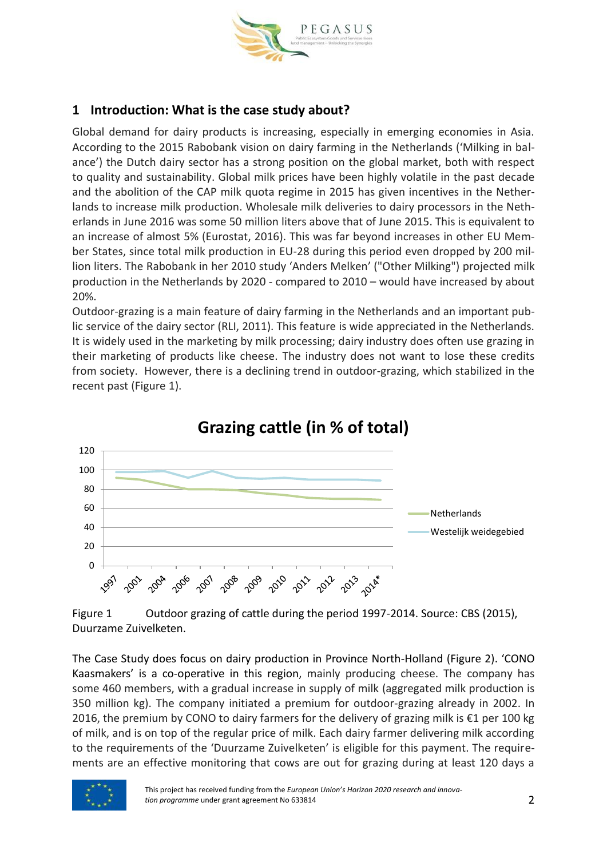

# **1 Introduction: What is the case study about?**

Global demand for dairy products is increasing, especially in emerging economies in Asia. According to the 2015 Rabobank vision on dairy farming in the Netherlands ('Milking in balance') the Dutch dairy sector has a strong position on the global market, both with respect to quality and sustainability. Global milk prices have been highly volatile in the past decade and the abolition of the CAP milk quota regime in 2015 has given incentives in the Netherlands to increase milk production. Wholesale milk deliveries to dairy processors in the Netherlands in June 2016 was some 50 million liters above that of June 2015. This is equivalent to an increase of almost 5% (Eurostat, 2016). This was far beyond increases in other EU Member States, since total milk production in EU-28 during this period even dropped by 200 million liters. The Rabobank in her 2010 study 'Anders Melken' ("Other Milking") projected milk production in the Netherlands by 2020 - compared to 2010 – would have increased by about 20%.

Outdoor-grazing is a main feature of dairy farming in the Netherlands and an important public service of the dairy sector (RLI, 2011). This feature is wide appreciated in the Netherlands. It is widely used in the marketing by milk processing; dairy industry does often use grazing in their marketing of products like cheese. The industry does not want to lose these credits from society. However, there is a declining trend in outdoor-grazing, which stabilized in the recent past (Figure 1).



**Grazing cattle (in % of total)**

Figure 1 Outdoor grazing of cattle during the period 1997-2014. Source: CBS (2015), Duurzame Zuivelketen.

The Case Study does focus on dairy production in Province North-Holland (Figure 2). 'CONO Kaasmakers' is a co-operative in this region, mainly producing cheese. The company has some 460 members, with a gradual increase in supply of milk (aggregated milk production is 350 million kg). The company initiated a premium for outdoor-grazing already in 2002. In 2016, the premium by CONO to dairy farmers for the delivery of grazing milk is €1 per 100 kg of milk, and is on top of the regular price of milk. Each dairy farmer delivering milk according to the requirements of the 'Duurzame Zuivelketen' is eligible for this payment. The requirements are an effective monitoring that cows are out for grazing during at least 120 days a

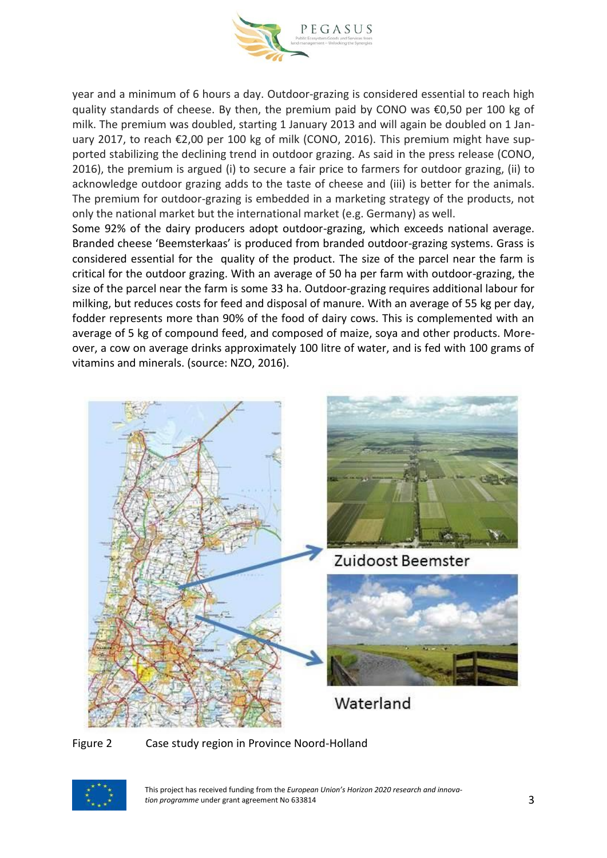

year and a minimum of 6 hours a day. Outdoor-grazing is considered essential to reach high quality standards of cheese. By then, the premium paid by CONO was €0,50 per 100 kg of milk. The premium was doubled, starting 1 January 2013 and will again be doubled on 1 January 2017, to reach €2,00 per 100 kg of milk (CONO, 2016). This premium might have supported stabilizing the declining trend in outdoor grazing. As said in the press release (CONO, 2016), the premium is argued (i) to secure a fair price to farmers for outdoor grazing, (ii) to acknowledge outdoor grazing adds to the taste of cheese and (iii) is better for the animals. The premium for outdoor-grazing is embedded in a marketing strategy of the products, not only the national market but the international market (e.g. Germany) as well.

Some 92% of the dairy producers adopt outdoor-grazing, which exceeds national average. Branded cheese 'Beemsterkaas' is produced from branded outdoor-grazing systems. Grass is considered essential for the quality of the product. The size of the parcel near the farm is critical for the outdoor grazing. With an average of 50 ha per farm with outdoor-grazing, the size of the parcel near the farm is some 33 ha. Outdoor-grazing requires additional labour for milking, but reduces costs for feed and disposal of manure. With an average of 55 kg per day, fodder represents more than 90% of the food of dairy cows. This is complemented with an average of 5 kg of compound feed, and composed of maize, soya and other products. Moreover, a cow on average drinks approximately 100 litre of water, and is fed with 100 grams of vitamins and minerals. (source: NZO, 2016).



Figure 2 Case study region in Province Noord-Holland



This project has received funding from the *European Union's Horizon 2020 research and innovation programme* under grant agreement No 633814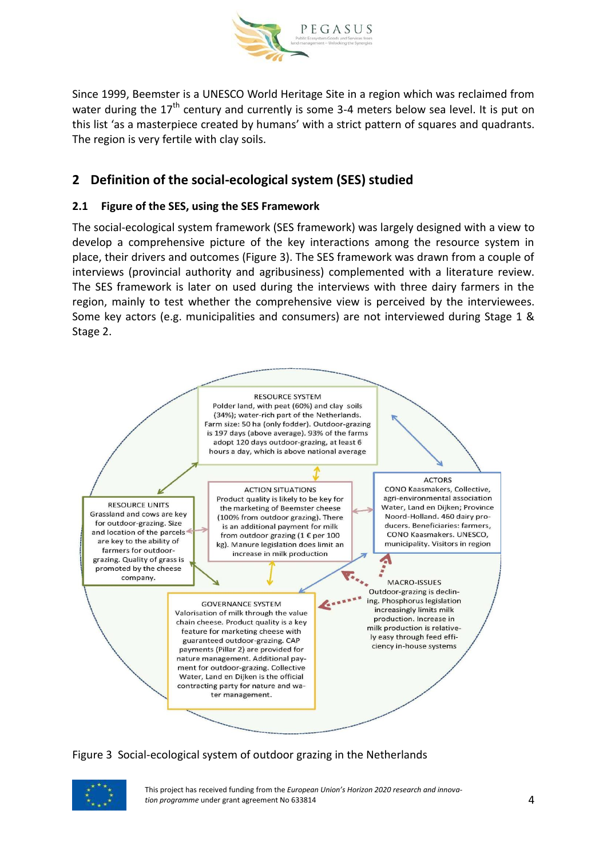

Since 1999, Beemster is a UNESCO World Heritage Site in a region which was reclaimed from water during the  $17<sup>th</sup>$  century and currently is some 3-4 meters below sea level. It is put on this list 'as a masterpiece created by humans' with a strict pattern of squares and quadrants. The region is very fertile with clay soils.

## **2 Definition of the social-ecological system (SES) studied**

## **2.1 Figure of the SES, using the SES Framework**

The social-ecological system framework (SES framework) was largely designed with a view to develop a comprehensive picture of the key interactions among the resource system in place, their drivers and outcomes (Figure 3). The SES framework was drawn from a couple of interviews (provincial authority and agribusiness) complemented with a literature review. The SES framework is later on used during the interviews with three dairy farmers in the region, mainly to test whether the comprehensive view is perceived by the interviewees. Some key actors (e.g. municipalities and consumers) are not interviewed during Stage 1 & Stage 2.



Figure 3 Social-ecological system of outdoor grazing in the Netherlands



This project has received funding from the *European Union's Horizon 2020 research and innovation programme* under grant agreement No 633814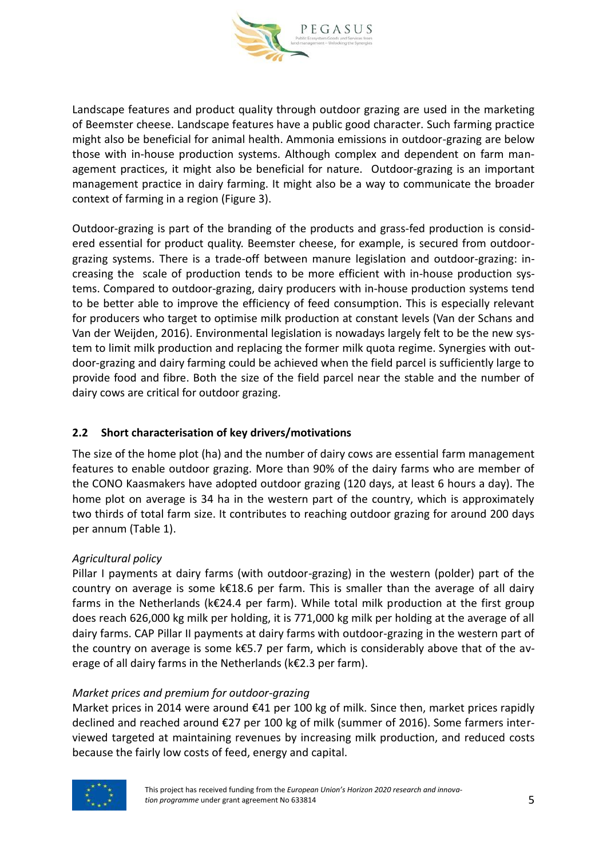

Landscape features and product quality through outdoor grazing are used in the marketing of Beemster cheese. Landscape features have a public good character. Such farming practice might also be beneficial for animal health. Ammonia emissions in outdoor-grazing are below those with in-house production systems. Although complex and dependent on farm management practices, it might also be beneficial for nature. Outdoor-grazing is an important management practice in dairy farming. It might also be a way to communicate the broader context of farming in a region (Figure 3).

Outdoor-grazing is part of the branding of the products and grass-fed production is considered essential for product quality. Beemster cheese, for example, is secured from outdoorgrazing systems. There is a trade-off between manure legislation and outdoor-grazing: increasing the scale of production tends to be more efficient with in-house production systems. Compared to outdoor-grazing, dairy producers with in-house production systems tend to be better able to improve the efficiency of feed consumption. This is especially relevant for producers who target to optimise milk production at constant levels (Van der Schans and Van der Weijden, 2016). Environmental legislation is nowadays largely felt to be the new system to limit milk production and replacing the former milk quota regime. Synergies with outdoor-grazing and dairy farming could be achieved when the field parcel is sufficiently large to provide food and fibre. Both the size of the field parcel near the stable and the number of dairy cows are critical for outdoor grazing.

#### **2.2 Short characterisation of key drivers/motivations**

The size of the home plot (ha) and the number of dairy cows are essential farm management features to enable outdoor grazing. More than 90% of the dairy farms who are member of the CONO Kaasmakers have adopted outdoor grazing (120 days, at least 6 hours a day). The home plot on average is 34 ha in the western part of the country, which is approximately two thirds of total farm size. It contributes to reaching outdoor grazing for around 200 days per annum (Table 1).

#### *Agricultural policy*

Pillar I payments at dairy farms (with outdoor-grazing) in the western (polder) part of the country on average is some k€18.6 per farm. This is smaller than the average of all dairy farms in the Netherlands (k€24.4 per farm). While total milk production at the first group does reach 626,000 kg milk per holding, it is 771,000 kg milk per holding at the average of all dairy farms. CAP Pillar II payments at dairy farms with outdoor-grazing in the western part of the country on average is some k€5.7 per farm, which is considerably above that of the average of all dairy farms in the Netherlands (k€2.3 per farm).

#### *Market prices and premium for outdoor-grazing*

Market prices in 2014 were around €41 per 100 kg of milk. Since then, market prices rapidly declined and reached around €27 per 100 kg of milk (summer of 2016). Some farmers interviewed targeted at maintaining revenues by increasing milk production, and reduced costs because the fairly low costs of feed, energy and capital.

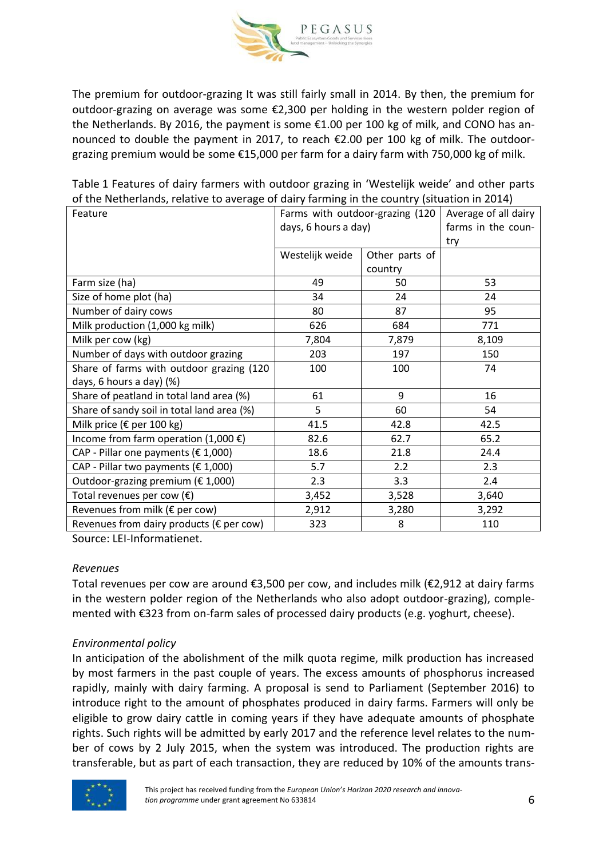

The premium for outdoor-grazing It was still fairly small in 2014. By then, the premium for outdoor-grazing on average was some €2,300 per holding in the western polder region of the Netherlands. By 2016, the payment is some €1.00 per 100 kg of milk, and CONO has announced to double the payment in 2017, to reach €2.00 per 100 kg of milk. The outdoorgrazing premium would be some €15,000 per farm for a dairy farm with 750,000 kg of milk.

Table 1 Features of dairy farmers with outdoor grazing in 'Westelijk weide' and other parts of the Netherlands, relative to average of dairy farming in the country (situation in 2014)

| Feature                                            | Farms with outdoor-grazing (120 |                | Average of all dairy |
|----------------------------------------------------|---------------------------------|----------------|----------------------|
|                                                    | days, 6 hours a day)            |                | farms in the coun-   |
|                                                    |                                 |                | try                  |
|                                                    | Westelijk weide                 | Other parts of |                      |
|                                                    |                                 | country        |                      |
| Farm size (ha)                                     | 49                              | 50             | 53                   |
| Size of home plot (ha)                             | 34                              | 24             | 24                   |
| Number of dairy cows                               | 80                              | 87             | 95                   |
| Milk production (1,000 kg milk)                    | 626                             | 684            | 771                  |
| Milk per cow (kg)                                  | 7,804                           | 7,879          | 8,109                |
| Number of days with outdoor grazing                | 203                             | 197            | 150                  |
| Share of farms with outdoor grazing (120           | 100                             | 100            | 74                   |
| days, 6 hours a day) (%)                           |                                 |                |                      |
| Share of peatland in total land area (%)           | 61                              | 9              | 16                   |
| Share of sandy soil in total land area (%)         | 5                               | 60             | 54                   |
| Milk price (€ per 100 kg)                          | 41.5                            | 42.8           | 42.5                 |
| Income from farm operation $(1,000 \in)$           | 82.6                            | 62.7           | 65.2                 |
| CAP - Pillar one payments (€ 1,000)                | 18.6                            | 21.8           | 24.4                 |
| CAP - Pillar two payments ( $\epsilon$ 1,000)      | 5.7                             | 2.2            | 2.3                  |
| Outdoor-grazing premium ( $\epsilon$ 1,000)        | 2.3                             | 3.3            | 2.4                  |
| Total revenues per cow $(\epsilon)$                | 3,452                           | 3,528          | 3,640                |
| Revenues from milk (€ per cow)                     | 2,912                           | 3,280          | 3,292                |
| Revenues from dairy products ( $\epsilon$ per cow) | 323                             | 8              | 110                  |

Source: LEI-Informatienet.

#### *Revenues*

Total revenues per cow are around €3,500 per cow, and includes milk (€2,912 at dairy farms in the western polder region of the Netherlands who also adopt outdoor-grazing), complemented with €323 from on-farm sales of processed dairy products (e.g. yoghurt, cheese).

#### *Environmental policy*

In anticipation of the abolishment of the milk quota regime, milk production has increased by most farmers in the past couple of years. The excess amounts of phosphorus increased rapidly, mainly with dairy farming. A proposal is send to Parliament (September 2016) to introduce right to the amount of phosphates produced in dairy farms. Farmers will only be eligible to grow dairy cattle in coming years if they have adequate amounts of phosphate rights. Such rights will be admitted by early 2017 and the reference level relates to the number of cows by 2 July 2015, when the system was introduced. The production rights are transferable, but as part of each transaction, they are reduced by 10% of the amounts trans-

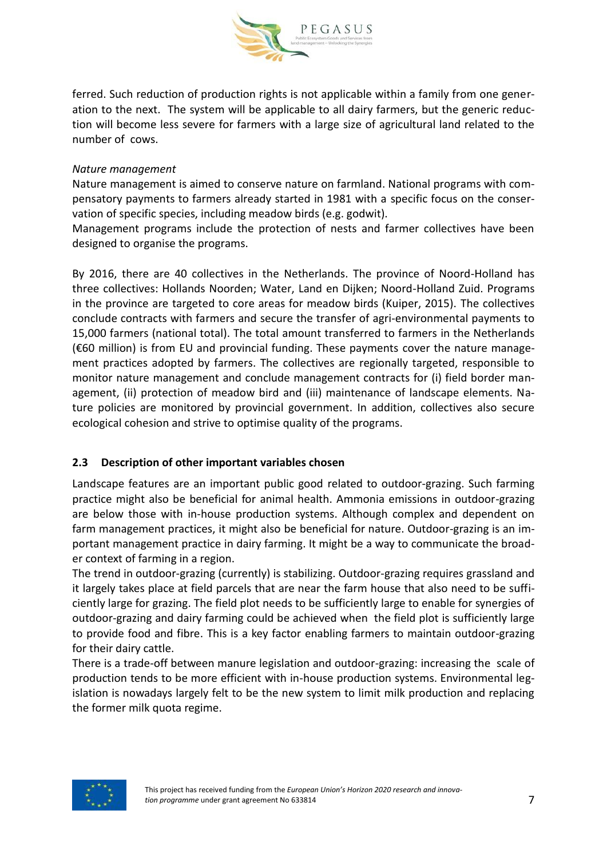

ferred. Such reduction of production rights is not applicable within a family from one generation to the next. The system will be applicable to all dairy farmers, but the generic reduction will become less severe for farmers with a large size of agricultural land related to the number of cows.

#### *Nature management*

Nature management is aimed to conserve nature on farmland. National programs with compensatory payments to farmers already started in 1981 with a specific focus on the conservation of specific species, including meadow birds (e.g. godwit).

Management programs include the protection of nests and farmer collectives have been designed to organise the programs.

By 2016, there are 40 collectives in the Netherlands. The province of Noord-Holland has three collectives: Hollands Noorden; Water, Land en Dijken; Noord-Holland Zuid. Programs in the province are targeted to core areas for meadow birds (Kuiper, 2015). The collectives conclude contracts with farmers and secure the transfer of agri-environmental payments to 15,000 farmers (national total). The total amount transferred to farmers in the Netherlands (€60 million) is from EU and provincial funding. These payments cover the nature management practices adopted by farmers. The collectives are regionally targeted, responsible to monitor nature management and conclude management contracts for (i) field border management, (ii) protection of meadow bird and (iii) maintenance of landscape elements. Nature policies are monitored by provincial government. In addition, collectives also secure ecological cohesion and strive to optimise quality of the programs.

#### **2.3 Description of other important variables chosen**

Landscape features are an important public good related to outdoor-grazing. Such farming practice might also be beneficial for animal health. Ammonia emissions in outdoor-grazing are below those with in-house production systems. Although complex and dependent on farm management practices, it might also be beneficial for nature. Outdoor-grazing is an important management practice in dairy farming. It might be a way to communicate the broader context of farming in a region.

The trend in outdoor-grazing (currently) is stabilizing. Outdoor-grazing requires grassland and it largely takes place at field parcels that are near the farm house that also need to be sufficiently large for grazing. The field plot needs to be sufficiently large to enable for synergies of outdoor-grazing and dairy farming could be achieved when the field plot is sufficiently large to provide food and fibre. This is a key factor enabling farmers to maintain outdoor-grazing for their dairy cattle.

There is a trade-off between manure legislation and outdoor-grazing: increasing the scale of production tends to be more efficient with in-house production systems. Environmental legislation is nowadays largely felt to be the new system to limit milk production and replacing the former milk quota regime.

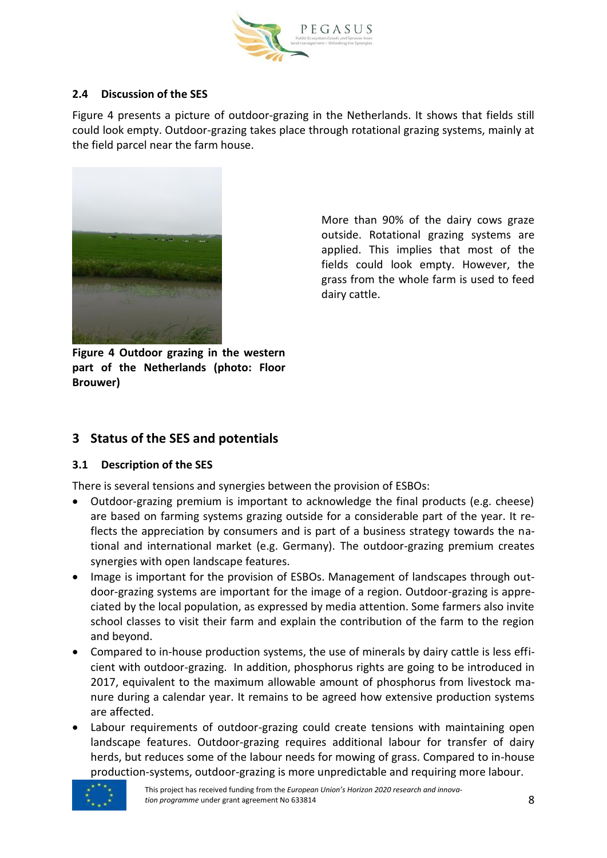

#### **2.4 Discussion of the SES**

Figure 4 presents a picture of outdoor-grazing in the Netherlands. It shows that fields still could look empty. Outdoor-grazing takes place through rotational grazing systems, mainly at the field parcel near the farm house.



outside. Rotational grazing systems are applied. This implies that most of the fields could look empty. However, the grass from the whole farm is used to feed dairy cattle.

More than 90% of the dairy cows graze

**Figure 4 Outdoor grazing in the western part of the Netherlands (photo: Floor Brouwer)**

## **3 Status of the SES and potentials**

#### **3.1 Description of the SES**

There is several tensions and synergies between the provision of ESBOs:

- Outdoor-grazing premium is important to acknowledge the final products (e.g. cheese) are based on farming systems grazing outside for a considerable part of the year. It reflects the appreciation by consumers and is part of a business strategy towards the national and international market (e.g. Germany). The outdoor-grazing premium creates synergies with open landscape features.
- Image is important for the provision of ESBOs. Management of landscapes through outdoor-grazing systems are important for the image of a region. Outdoor-grazing is appreciated by the local population, as expressed by media attention. Some farmers also invite school classes to visit their farm and explain the contribution of the farm to the region and beyond.
- Compared to in-house production systems, the use of minerals by dairy cattle is less efficient with outdoor-grazing. In addition, phosphorus rights are going to be introduced in 2017, equivalent to the maximum allowable amount of phosphorus from livestock manure during a calendar year. It remains to be agreed how extensive production systems are affected.
- Labour requirements of outdoor-grazing could create tensions with maintaining open landscape features. Outdoor-grazing requires additional labour for transfer of dairy herds, but reduces some of the labour needs for mowing of grass. Compared to in-house production-systems, outdoor-grazing is more unpredictable and requiring more labour.

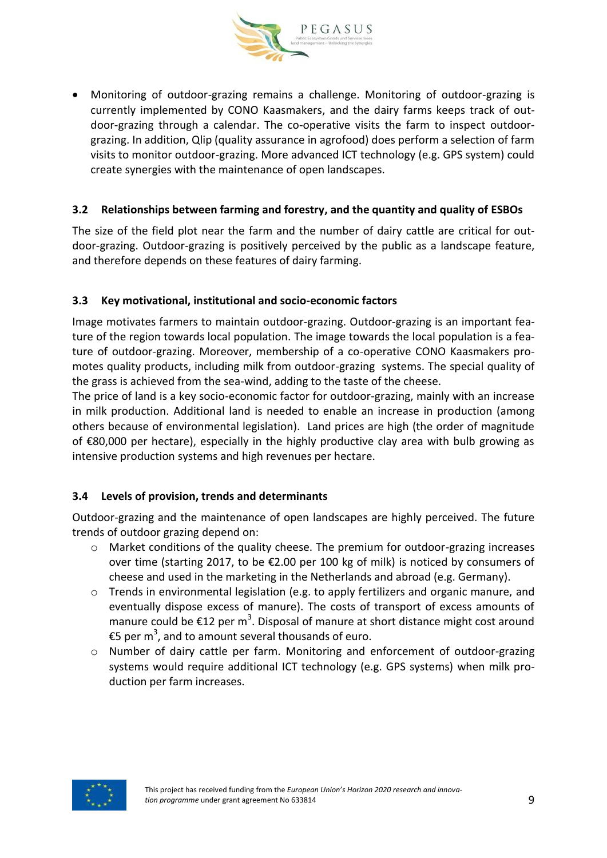

 Monitoring of outdoor-grazing remains a challenge. Monitoring of outdoor-grazing is currently implemented by CONO Kaasmakers, and the dairy farms keeps track of outdoor-grazing through a calendar. The co-operative visits the farm to inspect outdoorgrazing. In addition, Qlip (quality assurance in agrofood) does perform a selection of farm visits to monitor outdoor-grazing. More advanced ICT technology (e.g. GPS system) could create synergies with the maintenance of open landscapes.

#### **3.2 Relationships between farming and forestry, and the quantity and quality of ESBOs**

The size of the field plot near the farm and the number of dairy cattle are critical for outdoor-grazing. Outdoor-grazing is positively perceived by the public as a landscape feature, and therefore depends on these features of dairy farming.

#### **3.3 Key motivational, institutional and socio-economic factors**

Image motivates farmers to maintain outdoor-grazing. Outdoor-grazing is an important feature of the region towards local population. The image towards the local population is a feature of outdoor-grazing. Moreover, membership of a co-operative CONO Kaasmakers promotes quality products, including milk from outdoor-grazing systems. The special quality of the grass is achieved from the sea-wind, adding to the taste of the cheese.

The price of land is a key socio-economic factor for outdoor-grazing, mainly with an increase in milk production. Additional land is needed to enable an increase in production (among others because of environmental legislation). Land prices are high (the order of magnitude of €80,000 per hectare), especially in the highly productive clay area with bulb growing as intensive production systems and high revenues per hectare.

#### **3.4 Levels of provision, trends and determinants**

Outdoor-grazing and the maintenance of open landscapes are highly perceived. The future trends of outdoor grazing depend on:

- o Market conditions of the quality cheese. The premium for outdoor-grazing increases over time (starting 2017, to be €2.00 per 100 kg of milk) is noticed by consumers of cheese and used in the marketing in the Netherlands and abroad (e.g. Germany).
- o Trends in environmental legislation (e.g. to apply fertilizers and organic manure, and eventually dispose excess of manure). The costs of transport of excess amounts of manure could be  $\epsilon$ 12 per m<sup>3</sup>. Disposal of manure at short distance might cost around €5 per m<sup>3</sup>, and to amount several thousands of euro.
- o Number of dairy cattle per farm. Monitoring and enforcement of outdoor-grazing systems would require additional ICT technology (e.g. GPS systems) when milk production per farm increases.

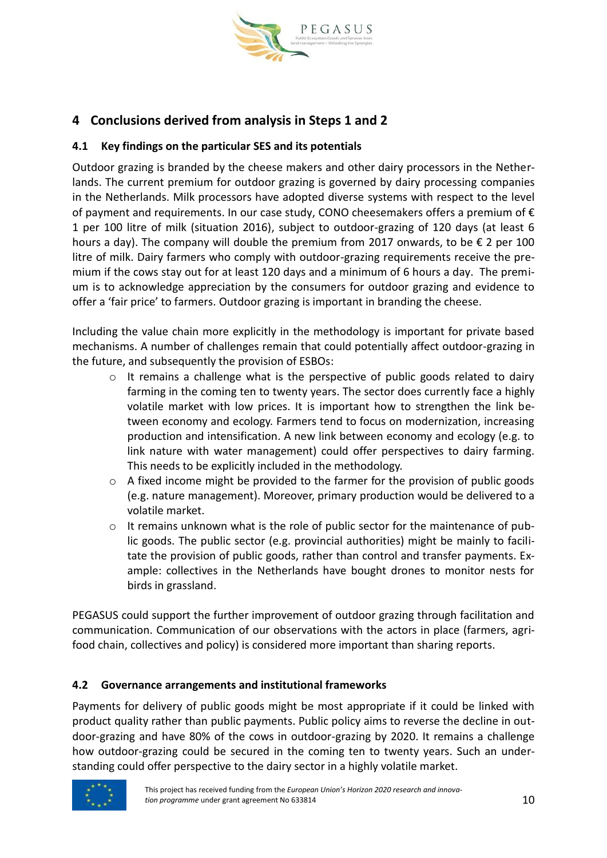

# **4 Conclusions derived from analysis in Steps 1 and 2**

#### **4.1 Key findings on the particular SES and its potentials**

Outdoor grazing is branded by the cheese makers and other dairy processors in the Netherlands. The current premium for outdoor grazing is governed by dairy processing companies in the Netherlands. Milk processors have adopted diverse systems with respect to the level of payment and requirements. In our case study, CONO cheesemakers offers a premium of  $\epsilon$ 1 per 100 litre of milk (situation 2016), subject to outdoor-grazing of 120 days (at least 6 hours a day). The company will double the premium from 2017 onwards, to be  $\epsilon$  2 per 100 litre of milk. Dairy farmers who comply with outdoor-grazing requirements receive the premium if the cows stay out for at least 120 days and a minimum of 6 hours a day. The premium is to acknowledge appreciation by the consumers for outdoor grazing and evidence to offer a 'fair price' to farmers. Outdoor grazing is important in branding the cheese.

Including the value chain more explicitly in the methodology is important for private based mechanisms. A number of challenges remain that could potentially affect outdoor-grazing in the future, and subsequently the provision of ESBOs:

- $\circ$  It remains a challenge what is the perspective of public goods related to dairy farming in the coming ten to twenty years. The sector does currently face a highly volatile market with low prices. It is important how to strengthen the link between economy and ecology. Farmers tend to focus on modernization, increasing production and intensification. A new link between economy and ecology (e.g. to link nature with water management) could offer perspectives to dairy farming. This needs to be explicitly included in the methodology.
- $\circ$  A fixed income might be provided to the farmer for the provision of public goods (e.g. nature management). Moreover, primary production would be delivered to a volatile market.
- $\circ$  It remains unknown what is the role of public sector for the maintenance of public goods. The public sector (e.g. provincial authorities) might be mainly to facilitate the provision of public goods, rather than control and transfer payments. Example: collectives in the Netherlands have bought drones to monitor nests for birds in grassland.

PEGASUS could support the further improvement of outdoor grazing through facilitation and communication. Communication of our observations with the actors in place (farmers, agrifood chain, collectives and policy) is considered more important than sharing reports.

#### **4.2 Governance arrangements and institutional frameworks**

Payments for delivery of public goods might be most appropriate if it could be linked with product quality rather than public payments. Public policy aims to reverse the decline in outdoor-grazing and have 80% of the cows in outdoor-grazing by 2020. It remains a challenge how outdoor-grazing could be secured in the coming ten to twenty years. Such an understanding could offer perspective to the dairy sector in a highly volatile market.

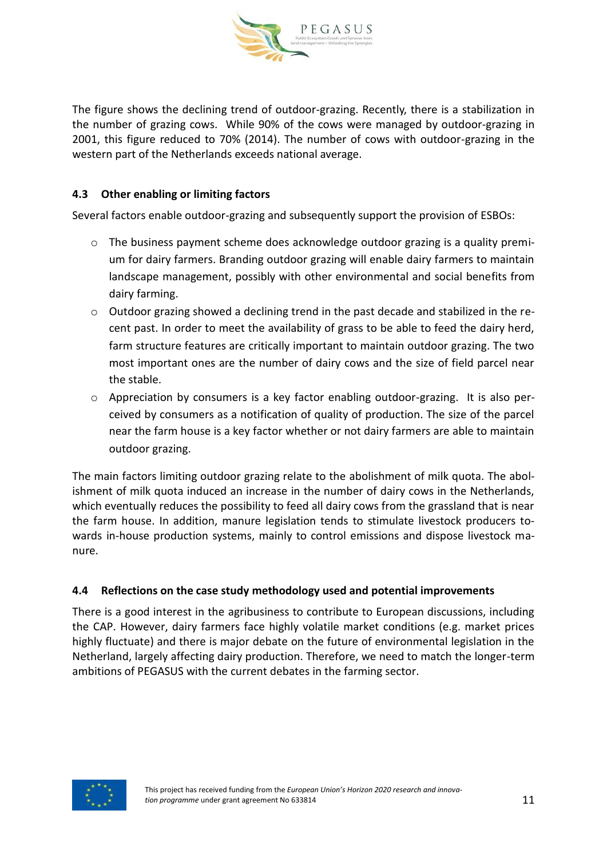

The figure shows the declining trend of outdoor-grazing. Recently, there is a stabilization in the number of grazing cows. While 90% of the cows were managed by outdoor-grazing in 2001, this figure reduced to 70% (2014). The number of cows with outdoor-grazing in the western part of the Netherlands exceeds national average.

#### **4.3 Other enabling or limiting factors**

Several factors enable outdoor-grazing and subsequently support the provision of ESBOs:

- $\circ$  The business payment scheme does acknowledge outdoor grazing is a quality premium for dairy farmers. Branding outdoor grazing will enable dairy farmers to maintain landscape management, possibly with other environmental and social benefits from dairy farming.
- o Outdoor grazing showed a declining trend in the past decade and stabilized in the recent past. In order to meet the availability of grass to be able to feed the dairy herd, farm structure features are critically important to maintain outdoor grazing. The two most important ones are the number of dairy cows and the size of field parcel near the stable.
- o Appreciation by consumers is a key factor enabling outdoor-grazing. It is also perceived by consumers as a notification of quality of production. The size of the parcel near the farm house is a key factor whether or not dairy farmers are able to maintain outdoor grazing.

The main factors limiting outdoor grazing relate to the abolishment of milk quota. The abolishment of milk quota induced an increase in the number of dairy cows in the Netherlands, which eventually reduces the possibility to feed all dairy cows from the grassland that is near the farm house. In addition, manure legislation tends to stimulate livestock producers towards in-house production systems, mainly to control emissions and dispose livestock manure.

#### **4.4 Reflections on the case study methodology used and potential improvements**

There is a good interest in the agribusiness to contribute to European discussions, including the CAP. However, dairy farmers face highly volatile market conditions (e.g. market prices highly fluctuate) and there is major debate on the future of environmental legislation in the Netherland, largely affecting dairy production. Therefore, we need to match the longer-term ambitions of PEGASUS with the current debates in the farming sector.

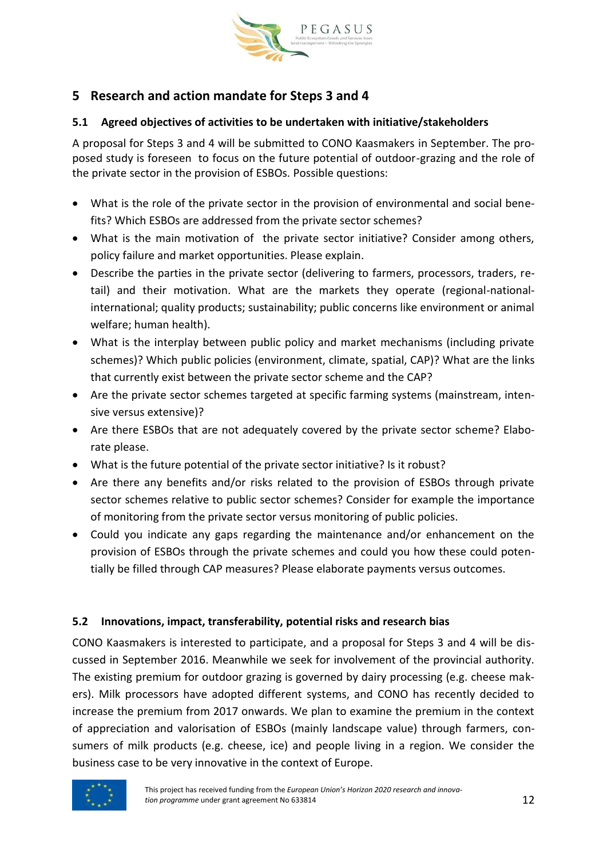

# **5 Research and action mandate for Steps 3 and 4**

#### **5.1 Agreed objectives of activities to be undertaken with initiative/stakeholders**

A proposal for Steps 3 and 4 will be submitted to CONO Kaasmakers in September. The proposed study is foreseen to focus on the future potential of outdoor-grazing and the role of the private sector in the provision of ESBOs. Possible questions:

- What is the role of the private sector in the provision of environmental and social benefits? Which ESBOs are addressed from the private sector schemes?
- What is the main motivation of the private sector initiative? Consider among others, policy failure and market opportunities. Please explain.
- Describe the parties in the private sector (delivering to farmers, processors, traders, retail) and their motivation. What are the markets they operate (regional-nationalinternational; quality products; sustainability; public concerns like environment or animal welfare; human health).
- What is the interplay between public policy and market mechanisms (including private schemes)? Which public policies (environment, climate, spatial, CAP)? What are the links that currently exist between the private sector scheme and the CAP?
- Are the private sector schemes targeted at specific farming systems (mainstream, intensive versus extensive)?
- Are there ESBOs that are not adequately covered by the private sector scheme? Elaborate please.
- What is the future potential of the private sector initiative? Is it robust?
- Are there any benefits and/or risks related to the provision of ESBOs through private sector schemes relative to public sector schemes? Consider for example the importance of monitoring from the private sector versus monitoring of public policies.
- Could you indicate any gaps regarding the maintenance and/or enhancement on the provision of ESBOs through the private schemes and could you how these could potentially be filled through CAP measures? Please elaborate payments versus outcomes.

## **5.2 Innovations, impact, transferability, potential risks and research bias**

CONO Kaasmakers is interested to participate, and a proposal for Steps 3 and 4 will be discussed in September 2016. Meanwhile we seek for involvement of the provincial authority. The existing premium for outdoor grazing is governed by dairy processing (e.g. cheese makers). Milk processors have adopted different systems, and CONO has recently decided to increase the premium from 2017 onwards. We plan to examine the premium in the context of appreciation and valorisation of ESBOs (mainly landscape value) through farmers, consumers of milk products (e.g. cheese, ice) and people living in a region. We consider the business case to be very innovative in the context of Europe.

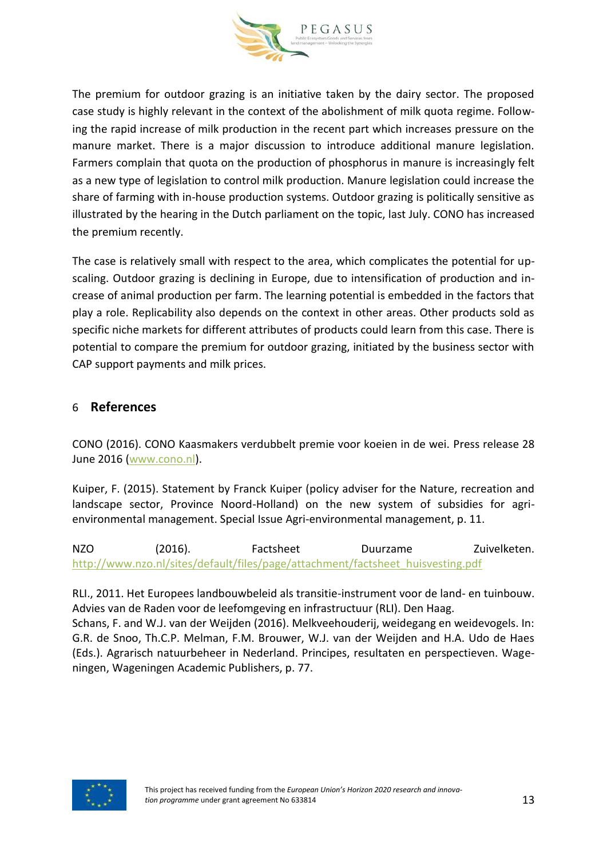

The premium for outdoor grazing is an initiative taken by the dairy sector. The proposed case study is highly relevant in the context of the abolishment of milk quota regime. Following the rapid increase of milk production in the recent part which increases pressure on the manure market. There is a major discussion to introduce additional manure legislation. Farmers complain that quota on the production of phosphorus in manure is increasingly felt as a new type of legislation to control milk production. Manure legislation could increase the share of farming with in-house production systems. Outdoor grazing is politically sensitive as illustrated by the hearing in the Dutch parliament on the topic, last July. CONO has increased the premium recently.

The case is relatively small with respect to the area, which complicates the potential for upscaling. Outdoor grazing is declining in Europe, due to intensification of production and increase of animal production per farm. The learning potential is embedded in the factors that play a role. Replicability also depends on the context in other areas. Other products sold as specific niche markets for different attributes of products could learn from this case. There is potential to compare the premium for outdoor grazing, initiated by the business sector with CAP support payments and milk prices.

## 6 **References**

CONO (2016). CONO Kaasmakers verdubbelt premie voor koeien in de wei. Press release 28 June 2016 [\(www.cono.nl\)](http://www.cono.nl/).

Kuiper, F. (2015). Statement by Franck Kuiper (policy adviser for the Nature, recreation and landscape sector, Province Noord-Holland) on the new system of subsidies for agrienvironmental management. Special Issue Agri-environmental management, p. 11.

NZO (2016). Factsheet Duurzame Zuivelketen. [http://www.nzo.nl/sites/default/files/page/attachment/factsheet\\_huisvesting.pdf](http://www.nzo.nl/sites/default/files/page/attachment/factsheet_huisvesting.pdf)

RLI., 2011. Het Europees landbouwbeleid als transitie-instrument voor de land- en tuinbouw. Advies van de Raden voor de leefomgeving en infrastructuur (RLI). Den Haag.

Schans, F. and W.J. van der Weijden (2016). Melkveehouderij, weidegang en weidevogels. In: G.R. de Snoo, Th.C.P. Melman, F.M. Brouwer, W.J. van der Weijden and H.A. Udo de Haes (Eds.). Agrarisch natuurbeheer in Nederland. Principes, resultaten en perspectieven. Wageningen, Wageningen Academic Publishers, p. 77.